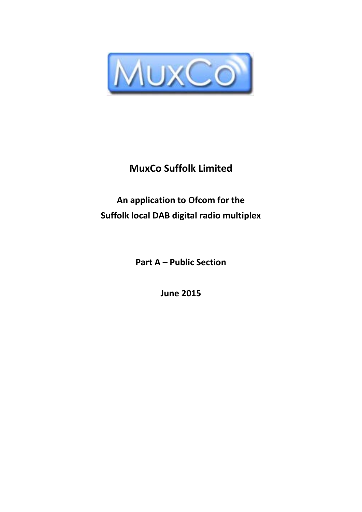

# **MuxCo Suffolk Limited**

# **An application to Ofcom for the Suffolk local DAB digital radio multiplex**

**Part A – Public Section**

**June 2015**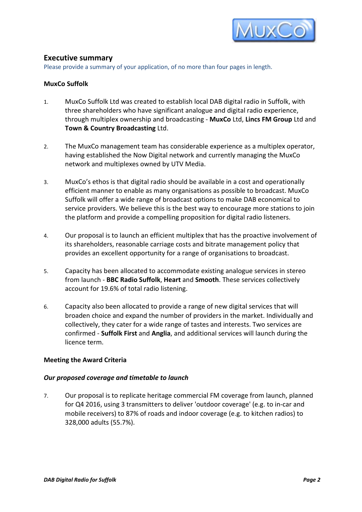

# **Executive summary**

Please provide a summary of your application, of no more than four pages in length.

# **MuxCo Suffolk**

- 1. MuxCo Suffolk Ltd was created to establish local DAB digital radio in Suffolk, with three shareholders who have significant analogue and digital radio experience, through multiplex ownership and broadcasting - **MuxCo** Ltd, **Lincs FM Group** Ltd and **Town & Country Broadcasting** Ltd.
- 2. The MuxCo management team has considerable experience as a multiplex operator, having established the Now Digital network and currently managing the MuxCo network and multiplexes owned by UTV Media.
- 3. MuxCo's ethos is that digital radio should be available in a cost and operationally efficient manner to enable as many organisations as possible to broadcast. MuxCo Suffolk will offer a wide range of broadcast options to make DAB economical to service providers. We believe this is the best way to encourage more stations to join the platform and provide a compelling proposition for digital radio listeners.
- 4. Our proposal is to launch an efficient multiplex that has the proactive involvement of its shareholders, reasonable carriage costs and bitrate management policy that provides an excellent opportunity for a range of organisations to broadcast.
- 5. Capacity has been allocated to accommodate existing analogue services in stereo from launch - **BBC Radio Suffolk**, **Heart** and **Smooth**. These services collectively account for 19.6% of total radio listening.
- 6. Capacity also been allocated to provide a range of new digital services that will broaden choice and expand the number of providers in the market. Individually and collectively, they cater for a wide range of tastes and interests. Two services are confirmed - **Suffolk First** and **Anglia**, and additional services will launch during the licence term.

# **Meeting the Award Criteria**

#### *Our proposed coverage and timetable to launch*

7. Our proposal is to replicate heritage commercial FM coverage from launch, planned for Q4 2016, using 3 transmitters to deliver 'outdoor coverage' (e.g. to in-car and mobile receivers) to 87% of roads and indoor coverage (e.g. to kitchen radios) to 328,000 adults (55.7%).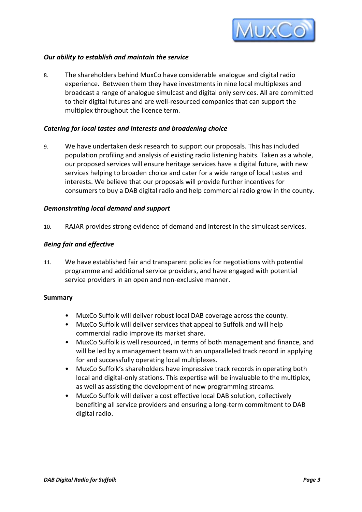

# *Our ability to establish and maintain the service*

8. The shareholders behind MuxCo have considerable analogue and digital radio experience. Between them they have investments in nine local multiplexes and broadcast a range of analogue simulcast and digital only services. All are committed to their digital futures and are well-resourced companies that can support the multiplex throughout the licence term.

# *Catering for local tastes and interests and broadening choice*

9. We have undertaken desk research to support our proposals. This has included population profiling and analysis of existing radio listening habits. Taken as a whole, our proposed services will ensure heritage services have a digital future, with new services helping to broaden choice and cater for a wide range of local tastes and interests. We believe that our proposals will provide further incentives for consumers to buy a DAB digital radio and help commercial radio grow in the county.

# *Demonstrating local demand and support*

10. RAJAR provides strong evidence of demand and interest in the simulcast services.

# *Being fair and effective*

11. We have established fair and transparent policies for negotiations with potential programme and additional service providers, and have engaged with potential service providers in an open and non-exclusive manner.

#### **Summary**

- MuxCo Suffolk will deliver robust local DAB coverage across the county.
- MuxCo Suffolk will deliver services that appeal to Suffolk and will help commercial radio improve its market share.
- MuxCo Suffolk is well resourced, in terms of both management and finance, and will be led by a management team with an unparalleled track record in applying for and successfully operating local multiplexes.
- MuxCo Suffolk's shareholders have impressive track records in operating both local and digital-only stations. This expertise will be invaluable to the multiplex, as well as assisting the development of new programming streams.
- MuxCo Suffolk will deliver a cost effective local DAB solution, collectively benefiting all service providers and ensuring a long-term commitment to DAB digital radio.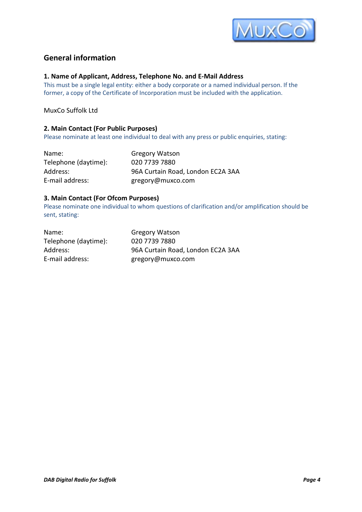

# **General information**

#### **1. Name of Applicant, Address, Telephone No. and E-Mail Address**

This must be a single legal entity: either a body corporate or a named individual person. If the former, a copy of the Certificate of Incorporation must be included with the application.

MuxCo Suffolk Ltd

### **2. Main Contact (For Public Purposes)**

Please nominate at least one individual to deal with any press or public enquiries, stating:

| Name:                | <b>Gregory Watson</b>             |
|----------------------|-----------------------------------|
| Telephone (daytime): | 020 7739 7880                     |
| Address:             | 96A Curtain Road, London EC2A 3AA |
| E-mail address:      | gregory@muxco.com                 |

# **3. Main Contact (For Ofcom Purposes)**

Please nominate one individual to whom questions of clarification and/or amplification should be sent, stating:

| Name:                | <b>Gregory Watson</b>             |
|----------------------|-----------------------------------|
| Telephone (daytime): | 020 7739 7880                     |
| Address:             | 96A Curtain Road, London EC2A 3AA |
| E-mail address:      | gregory@muxco.com                 |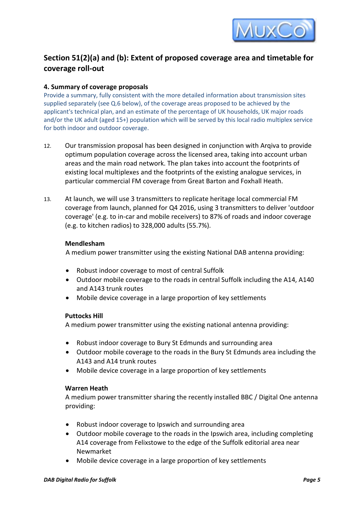

# **Section 51(2)(a) and (b): Extent of proposed coverage area and timetable for coverage roll-out**

# **4. Summary of coverage proposals**

Provide a summary, fully consistent with the more detailed information about transmission sites supplied separately (see Q.6 below), of the coverage areas proposed to be achieved by the applicant's technical plan, and an estimate of the percentage of UK households, UK major roads and/or the UK adult (aged 15+) population which will be served by this local radio multiplex service for both indoor and outdoor coverage.

- 12. Our transmission proposal has been designed in conjunction with Arqiva to provide optimum population coverage across the licensed area, taking into account urban areas and the main road network. The plan takes into account the footprints of existing local multiplexes and the footprints of the existing analogue services, in particular commercial FM coverage from Great Barton and Foxhall Heath.
- 13. At launch, we will use 3 transmitters to replicate heritage local commercial FM coverage from launch, planned for Q4 2016, using 3 transmitters to deliver 'outdoor coverage' (e.g. to in-car and mobile receivers) to 87% of roads and indoor coverage (e.g. to kitchen radios) to 328,000 adults (55.7%).

# **Mendlesham**

A medium power transmitter using the existing National DAB antenna providing:

- Robust indoor coverage to most of central Suffolk
- Outdoor mobile coverage to the roads in central Suffolk including the A14, A140 and A143 trunk routes
- Mobile device coverage in a large proportion of key settlements

# **Puttocks Hill**

A medium power transmitter using the existing national antenna providing:

- Robust indoor coverage to Bury St Edmunds and surrounding area
- Outdoor mobile coverage to the roads in the Bury St Edmunds area including the A143 and A14 trunk routes
- Mobile device coverage in a large proportion of key settlements

# **Warren Heath**

A medium power transmitter sharing the recently installed BBC / Digital One antenna providing:

- Robust indoor coverage to Ipswich and surrounding area
- Outdoor mobile coverage to the roads in the Ipswich area, including completing A14 coverage from Felixstowe to the edge of the Suffolk editorial area near Newmarket
- Mobile device coverage in a large proportion of key settlements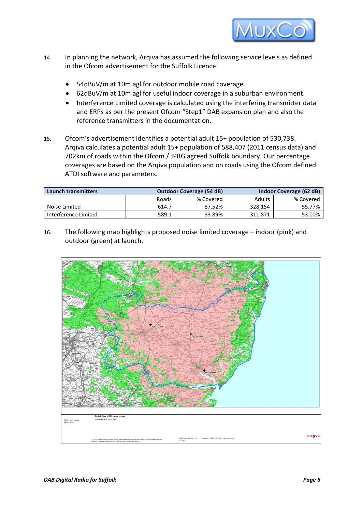

- 14. In planning the network, Arqiva has assumed the following service levels as defined in the Ofcom advertisement for the Suffolk Licence:
	- 54dBuV/m at 10m agl for outdoor mobile road coverage.
	- 62dBuV/m at 10m agl for useful indoor coverage in a suburban environment.
	- Interference Limited coverage is calculated using the interfering transmitter data and ERPs as per the present Ofcom "Step1" DAB expansion plan and also the reference transmitters in the documentation.
- 15. Ofcom's advertisement identifies a potential adult 15+ population of 530,738. Arqiva calculates a potential adult 15+ population of 588,407 (2011 census data) and 702km of roads within the Ofcom / JPRG agreed Suffolk boundary. Our percentage coverages are based on the Arqiva population and on roads using the Ofcom defined ATDI software and parameters.

| <b>Launch transmitters</b> | <b>Outdoor Coverage (54 dB)</b> |           |               | Indoor Coverage (62 dB) |  |
|----------------------------|---------------------------------|-----------|---------------|-------------------------|--|
|                            | Roads                           | % Covered | <b>Adults</b> | % Covered               |  |
| Noise Limited              | 614.7                           | 87.52%    | 328,154       | 55.77%                  |  |
| Interference Limited       | 589.1                           | 83.89%    | 311.871       | 53.00%                  |  |

16. The following map highlights proposed noise limited coverage – indoor (pink) and outdoor (green) at launch.

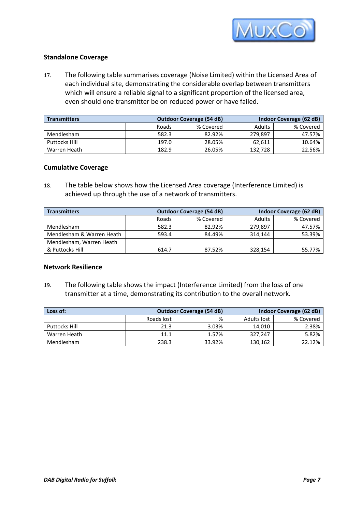

# **Standalone Coverage**

17. The following table summarises coverage (Noise Limited) within the Licensed Area of each individual site, demonstrating the considerable overlap between transmitters which will ensure a reliable signal to a significant proportion of the licensed area, even should one transmitter be on reduced power or have failed.

| <b>Transmitters</b> |       | <b>Outdoor Coverage (54 dB)</b> | Indoor Coverage (62 dB) |           |  |
|---------------------|-------|---------------------------------|-------------------------|-----------|--|
|                     | Roads | % Covered                       | Adults                  | % Covered |  |
| Mendlesham          | 582.3 | 82.92%                          | 279.897                 | 47.57%    |  |
| Puttocks Hill       | 197.0 | 28.05%                          | 62.611                  | 10.64%    |  |
| Warren Heath        | 182.9 | 26.05%                          | 132,728                 | 22.56%    |  |

# **Cumulative Coverage**

18. The table below shows how the Licensed Area coverage (Interference Limited) is achieved up through the use of a network of transmitters.

| <b>Transmitters</b>       |       | <b>Outdoor Coverage (54 dB)</b> | Indoor Coverage (62 dB) |           |  |
|---------------------------|-------|---------------------------------|-------------------------|-----------|--|
|                           | Roads | % Covered                       | <b>Adults</b>           | % Covered |  |
| Mendlesham                | 582.3 | 82.92%                          | 279.897                 | 47.57%    |  |
| Mendlesham & Warren Heath | 593.4 | 84.49%                          | 314.144                 | 53.39%    |  |
| Mendlesham, Warren Heath  |       |                                 |                         |           |  |
| & Puttocks Hill           | 614.7 | 87.52%                          | 328,154                 | 55.77%    |  |

### **Network Resilience**

19. The following table shows the impact (Interference Limited) from the loss of one transmitter at a time, demonstrating its contribution to the overall network.

| Loss of:      |            | <b>Outdoor Coverage (54 dB)</b> |             | Indoor Coverage (62 dB) |
|---------------|------------|---------------------------------|-------------|-------------------------|
|               | Roads lost | %                               | Adults lost | % Covered               |
| Puttocks Hill | 21.3       | 3.03%                           | 14.010      | 2.38%                   |
| Warren Heath  | 11.1       | 1.57%                           | 327.247     | 5.82%                   |
| Mendlesham    | 238.3      | 33.92%                          | 130,162     | 22.12%                  |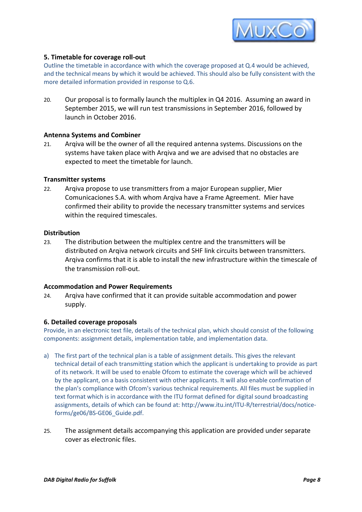

# **5. Timetable for coverage roll-out**

Outline the timetable in accordance with which the coverage proposed at Q.4 would be achieved, and the technical means by which it would be achieved. This should also be fully consistent with the more detailed information provided in response to Q.6.

20. Our proposal is to formally launch the multiplex in Q4 2016. Assuming an award in September 2015, we will run test transmissions in September 2016, followed by launch in October 2016.

# **Antenna Systems and Combiner**

21. Arqiva will be the owner of all the required antenna systems. Discussions on the systems have taken place with Arqiva and we are advised that no obstacles are expected to meet the timetable for launch.

# **Transmitter systems**

22. Arqiva propose to use transmitters from a major European supplier, Mier Comunicaciones S.A. with whom Arqiva have a Frame Agreement. Mier have confirmed their ability to provide the necessary transmitter systems and services within the required timescales.

# **Distribution**

23. The distribution between the multiplex centre and the transmitters will be distributed on Arqiva network circuits and SHF link circuits between transmitters. Arqiva confirms that it is able to install the new infrastructure within the timescale of the transmission roll-out.

#### **Accommodation and Power Requirements**

24. Arqiva have confirmed that it can provide suitable accommodation and power supply.

#### **6. Detailed coverage proposals**

Provide, in an electronic text file, details of the technical plan, which should consist of the following components: assignment details, implementation table, and implementation data.

- a) The first part of the technical plan is a table of assignment details. This gives the relevant technical detail of each transmitting station which the applicant is undertaking to provide as part of its network. It will be used to enable Ofcom to estimate the coverage which will be achieved by the applicant, on a basis consistent with other applicants. It will also enable confirmation of the plan's compliance with Ofcom's various technical requirements. All files must be supplied in text format which is in accordance with the ITU format defined for digital sound broadcasting assignments, details of which can be found at[: http://www.itu.int/ITU-R/terrestrial/docs/notice](http://www.itu.int/ITU-R/terrestrial/docs/notice-forms/ge06/BS-GE06_Guide.pdf)[forms/ge06/BS-GE06\\_Guide.pdf.](http://www.itu.int/ITU-R/terrestrial/docs/notice-forms/ge06/BS-GE06_Guide.pdf)
- 25. The assignment details accompanying this application are provided under separate cover as electronic files.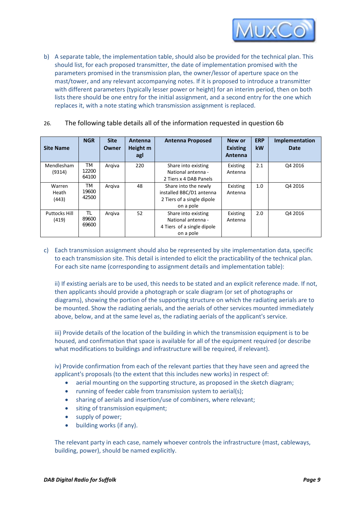

b) A separate table, the implementation table, should also be provided for the technical plan. This should list, for each proposed transmitter, the date of implementation promised with the parameters promised in the transmission plan, the owner/lessor of aperture space on the mast/tower, and any relevant accompanying notes. If it is proposed to introduce a transmitter with different parameters (typically lesser power or height) for an interim period, then on both lists there should be one entry for the initial assignment, and a second entry for the one which replaces it, with a note stating which transmission assignment is replaced.

| 26. | The following table details all of the information requested in question 6b |  |
|-----|-----------------------------------------------------------------------------|--|
|-----|-----------------------------------------------------------------------------|--|

| <b>Site Name</b>              | <b>NGR</b>           | <b>Site</b><br>Owner | Antenna<br>Height m<br>agl | <b>Antenna Proposed</b>                                                                     | New or<br><b>Existing</b><br>Antenna | <b>ERP</b><br><b>kW</b> | Implementation<br>Date |
|-------------------------------|----------------------|----------------------|----------------------------|---------------------------------------------------------------------------------------------|--------------------------------------|-------------------------|------------------------|
| Mendlesham<br>(9314)          | TM<br>12200<br>64100 | Argiva               | 220                        | Share into existing<br>National antenna -<br>2 Tiers x 4 DAB Panels                         | Existing<br>Antenna                  | 2.1                     | Q4 2016                |
| Warren<br>Heath<br>(443)      | ТM<br>19600<br>42500 | Argiva               | 48                         | Share into the newly<br>installed BBC/D1 antenna<br>2 Tiers of a single dipole<br>on a pole | Existing<br>Antenna                  | 1.0                     | Q4 2016                |
| <b>Puttocks Hill</b><br>(419) | TL<br>89600<br>69600 | Argiva               | 52                         | Share into existing<br>National antenna -<br>4 Tiers of a single dipole<br>on a pole        | Existing<br>Antenna                  | 2.0                     | Q4 2016                |

c) Each transmission assignment should also be represented by site implementation data, specific to each transmission site. This detail is intended to elicit the practicability of the technical plan. For each site name (corresponding to assignment details and implementation table):

ii) If existing aerials are to be used, this needs to be stated and an explicit reference made. If not, then applicants should provide a photograph or scale diagram (or set of photographs or diagrams), showing the portion of the supporting structure on which the radiating aerials are to be mounted. Show the radiating aerials, and the aerials of other services mounted immediately above, below, and at the same level as, the radiating aerials of the applicant's service.

iii) Provide details of the location of the building in which the transmission equipment is to be housed, and confirmation that space is available for all of the equipment required (or describe what modifications to buildings and infrastructure will be required, if relevant).

iv) Provide confirmation from each of the relevant parties that they have seen and agreed the applicant's proposals (to the extent that this includes new works) in respect of:

- aerial mounting on the supporting structure, as proposed in the sketch diagram;
- running of feeder cable from transmission system to aerial(s);
- sharing of aerials and insertion/use of combiners, where relevant;
- siting of transmission equipment;
- supply of power;
- building works (if any).

The relevant party in each case, namely whoever controls the infrastructure (mast, cableways, building, power), should be named explicitly.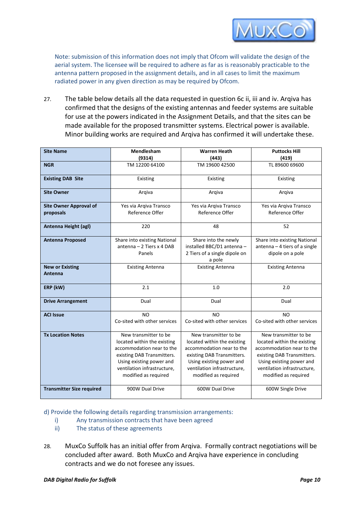

Note: submission of this information does not imply that Ofcom will validate the design of the aerial system. The licensee will be required to adhere as far as is reasonably practicable to the antenna pattern proposed in the assignment details, and in all cases to limit the maximum radiated power in any given direction as may be required by Ofcom.

27. The table below details all the data requested in question 6c ii, iii and iv. Arqiva has confirmed that the designs of the existing antennas and feeder systems are suitable for use at the powers indicated in the Assignment Details, and that the sites can be made available for the proposed transmitter systems. Electrical power is available. Minor building works are required and Arqiva has confirmed it will undertake these.

| <b>Site Name</b>                           | Mendlesham<br>(9314)                                                                                                                                                                               | <b>Warren Heath</b><br>(443)                                                                                                                                                                       | <b>Puttocks Hill</b><br>(419)                                                                                                                                                                      |  |
|--------------------------------------------|----------------------------------------------------------------------------------------------------------------------------------------------------------------------------------------------------|----------------------------------------------------------------------------------------------------------------------------------------------------------------------------------------------------|----------------------------------------------------------------------------------------------------------------------------------------------------------------------------------------------------|--|
| <b>NGR</b>                                 | TM 12200 64100                                                                                                                                                                                     | TM 19600 42500                                                                                                                                                                                     | TL 89600 69600                                                                                                                                                                                     |  |
| <b>Existing DAB Site</b>                   | Existing                                                                                                                                                                                           | Existing                                                                                                                                                                                           | Existing                                                                                                                                                                                           |  |
| <b>Site Owner</b>                          | Argiva                                                                                                                                                                                             | Argiva                                                                                                                                                                                             | Argiva                                                                                                                                                                                             |  |
| <b>Site Owner Approval of</b><br>proposals | Yes via Arqiva Transco<br>Reference Offer                                                                                                                                                          | Yes via Arqiva Transco<br>Reference Offer                                                                                                                                                          | Yes via Arqiva Transco<br>Reference Offer                                                                                                                                                          |  |
| Antenna Height (agl)                       | 220                                                                                                                                                                                                | 48                                                                                                                                                                                                 | 52                                                                                                                                                                                                 |  |
| <b>Antenna Proposed</b>                    | Share into existing National<br>antenna - 2 Tiers x 4 DAB<br>Panels                                                                                                                                | Share into the newly<br>installed BBC/D1 antenna -<br>2 Tiers of a single dipole on<br>a pole                                                                                                      | Share into existing National<br>$antenna - 4$ tiers of a single<br>dipole on a pole                                                                                                                |  |
| <b>New or Existing</b><br>Antenna          | <b>Existing Antenna</b>                                                                                                                                                                            | <b>Existing Antenna</b>                                                                                                                                                                            | <b>Existing Antenna</b>                                                                                                                                                                            |  |
| ERP (kW)                                   | 2.1                                                                                                                                                                                                | 1.0                                                                                                                                                                                                | 2.0                                                                                                                                                                                                |  |
| <b>Drive Arrangement</b>                   | Dual                                                                                                                                                                                               | Dual                                                                                                                                                                                               | Dual                                                                                                                                                                                               |  |
| <b>ACI Issue</b>                           | NO<br>Co-sited with other services                                                                                                                                                                 | NO<br>Co-sited with other services                                                                                                                                                                 | <b>NO</b><br>Co-sited with other services                                                                                                                                                          |  |
| <b>Tx Location Notes</b>                   | New transmitter to be<br>located within the existing<br>accommodation near to the<br>existing DAB Transmitters.<br>Using existing power and<br>ventilation infrastructure,<br>modified as required | New transmitter to be<br>located within the existing<br>accommodation near to the<br>existing DAB Transmitters.<br>Using existing power and<br>ventilation infrastructure,<br>modified as required | New transmitter to be<br>located within the existing<br>accommodation near to the<br>existing DAB Transmitters.<br>Using existing power and<br>ventilation infrastructure,<br>modified as required |  |
| <b>Transmitter Size required</b>           | 900W Dual Drive                                                                                                                                                                                    | 600W Dual Drive                                                                                                                                                                                    | 600W Single Drive                                                                                                                                                                                  |  |

d) Provide the following details regarding transmission arrangements:

- i) Any transmission contracts that have been agreed
- ii) The status of these agreements
- 28. MuxCo Suffolk has an initial offer from Arqiva. Formally contract negotiations will be concluded after award. Both MuxCo and Arqiva have experience in concluding contracts and we do not foresee any issues.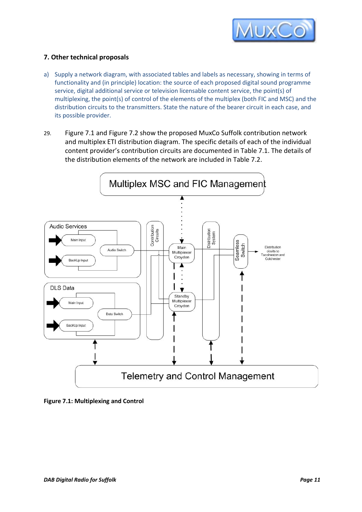

# **7. Other technical proposals**

- a) Supply a network diagram, with associated tables and labels as necessary, showing in terms of functionality and (in principle) location: the source of each proposed digital sound programme service, digital additional service or television licensable content service, the point(s) of multiplexing, the point(s) of control of the elements of the multiplex (both FIC and MSC) and the distribution circuits to the transmitters. State the nature of the bearer circuit in each case, and its possible provider.
- 29. Figure 7.1 and Figure 7.2 show the proposed MuxCo Suffolk contribution network and multiplex ETI distribution diagram. The specific details of each of the individual content provider's contribution circuits are documented in Table 7.1. The details of the distribution elements of the network are included in Table 7.2.



**Figure 7.1: Multiplexing and Control**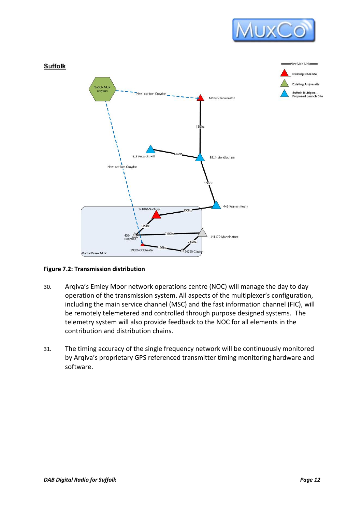



#### **Figure 7.2: Transmission distribution**

- 30. Arqiva's Emley Moor network operations centre (NOC) will manage the day to day operation of the transmission system. All aspects of the multiplexer's configuration, including the main service channel (MSC) and the fast information channel (FIC), will be remotely telemetered and controlled through purpose designed systems. The telemetry system will also provide feedback to the NOC for all elements in the contribution and distribution chains.
- 31. The timing accuracy of the single frequency network will be continuously monitored by Arqiva's proprietary GPS referenced transmitter timing monitoring hardware and software.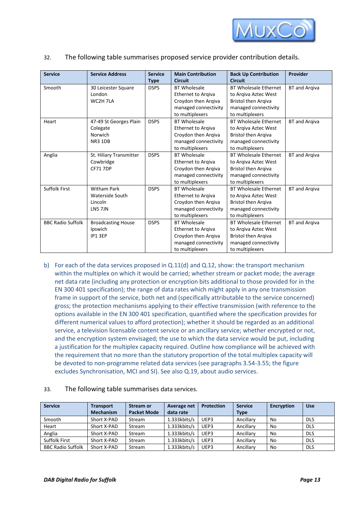

32. The following table summarises proposed service provider contribution details.

| <b>Service</b>           | <b>Service Address</b>    | <b>Service</b><br><b>Type</b> | <b>Main Contribution</b><br><b>Circuit</b> | <b>Back Up Contribution</b><br><b>Circuit</b> | Provider             |
|--------------------------|---------------------------|-------------------------------|--------------------------------------------|-----------------------------------------------|----------------------|
| Smooth                   | 30 Leicester Square       | <b>DSPS</b>                   | <b>BT Wholesale</b>                        | <b>BT Wholesale Ethernet</b>                  | <b>BT</b> and Arqiva |
|                          | London                    |                               | Ethernet to Arqiva                         | to Argiva Aztec West                          |                      |
|                          | WC2H 7LA                  |                               | Croydon then Arqiva                        | <b>Bristol then Argiva</b>                    |                      |
|                          |                           |                               | managed connectivity                       | managed connectivity                          |                      |
|                          |                           |                               | to multiplexers                            | to multiplexers                               |                      |
| Heart                    | 47-49 St Georges Plain    | <b>DSPS</b>                   | <b>BT Wholesale</b>                        | <b>BT Wholesale Ethernet</b>                  | <b>BT</b> and Argiva |
|                          | Colegate                  |                               | Ethernet to Arqiva                         | to Argiva Aztec West                          |                      |
|                          | Norwich                   |                               | Croydon then Arqiva                        | <b>Bristol then Argiva</b>                    |                      |
|                          | <b>NR3 1DB</b>            |                               | managed connectivity                       | managed connectivity                          |                      |
|                          |                           |                               | to multiplexers                            | to multiplexers                               |                      |
| Anglia                   | St. Hiliary Transmitter   | <b>DSPS</b>                   | <b>BT Wholesale</b>                        | <b>BT Wholesale Ethernet</b>                  | <b>BT</b> and Argiva |
|                          | Cowbridge                 |                               | <b>Ethernet to Argiva</b>                  | to Argiva Aztec West                          |                      |
|                          | <b>CF71 7DP</b>           |                               | Croydon then Arqiva                        | <b>Bristol then Argiva</b>                    |                      |
|                          |                           |                               | managed connectivity                       | managed connectivity                          |                      |
|                          |                           |                               | to multiplexers                            | to multiplexers                               |                      |
| <b>Suffolk First</b>     | <b>Witham Park</b>        | <b>DSPS</b>                   | <b>BT Wholesale</b>                        | <b>BT Wholesale Ethernet</b>                  | <b>BT</b> and Arqiva |
|                          | <b>Waterside South</b>    |                               | Ethernet to Argiva                         | to Argiva Aztec West                          |                      |
|                          | Lincoln                   |                               | Croydon then Argiva                        | <b>Bristol then Argiva</b>                    |                      |
|                          | <b>LN5 7JN</b>            |                               | managed connectivity                       | managed connectivity                          |                      |
|                          |                           |                               | to multiplexers                            | to multiplexers                               |                      |
| <b>BBC Radio Suffolk</b> | <b>Broadcasting House</b> | <b>DSPS</b>                   | <b>BT Wholesale</b>                        | <b>BT Wholesale Ethernet</b>                  | <b>BT</b> and Arqiva |
|                          | Ipswich                   |                               | Ethernet to Argiva                         | to Argiva Aztec West                          |                      |
|                          | IP1 3EP                   |                               | Croydon then Arqiva                        | <b>Bristol then Argiva</b>                    |                      |
|                          |                           |                               | managed connectivity                       | managed connectivity                          |                      |
|                          |                           |                               | to multiplexers                            | to multiplexers                               |                      |

b) For each of the data services proposed in Q.11(d) and Q.12, show: the transport mechanism within the multiplex on which it would be carried; whether stream or packet mode; the average net data rate (including any protection or encryption bits additional to those provided for in the EN 300 401 specification); the range of data rates which might apply in any one transmission frame in support of the service, both net and (specifically attributable to the service concerned) gross; the protection mechanisms applying to their effective transmission (with reference to the options available in the EN 300 401 specification, quantified where the specification provides for different numerical values to afford protection); whether it should be regarded as an additional service, a television licensable content service or an ancillary service; whether encrypted or not, and the encryption system envisaged; the use to which the data service would be put, including a justification for the multiplex capacity required. Outline how compliance will be achieved with the requirement that no more than the statutory proportion of the total multiplex capacity will be devoted to non-programme related data services (see paragraphs 3.54-3.55; the figure excludes Synchronisation, MCI and SI). See also Q.19, about audio services.

| <b>Service</b>           | <b>Transport</b> | <b>Stream or</b>   | Average net     | <b>Protection</b> | <b>Service</b> | <b>Encryption</b> | <b>Use</b> |
|--------------------------|------------------|--------------------|-----------------|-------------------|----------------|-------------------|------------|
|                          | <b>Mechanism</b> | <b>Packet Mode</b> | data rate       |                   | <b>Type</b>    |                   |            |
| Smooth                   | Short X-PAD      | Stream             | $1.333$ kbits/s | UEP3              | Ancillary      | No                | <b>DLS</b> |
| Heart                    | Short X-PAD      | Stream             | $1.333$ kbits/s | UEP3              | Ancillary      | No                | <b>DLS</b> |
| Anglia                   | Short X-PAD      | Stream             | $1.333$ kbits/s | UEP3              | Ancillary      | No                | <b>DLS</b> |
| <b>Suffolk First</b>     | Short X-PAD      | Stream             | $1.333$ kbits/s | UEP3              | Ancillary      | No                | <b>DLS</b> |
| <b>BBC Radio Suffolk</b> | Short X-PAD      | Stream             | $1.333$ kbits/s | UEP3              | Ancillary      | No                | <b>DLS</b> |

#### 33. The following table summarises data services.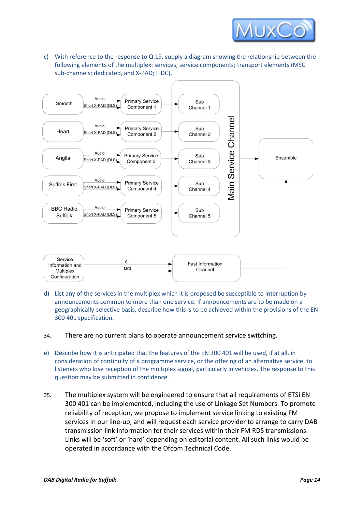

c) With reference to the response to Q.19, supply a diagram showing the relationship between the following elements of the multiplex: services; service components; transport elements (MSC sub-channels: dedicated, and X-PAD; FIDC).



- d) List any of the services in the multiplex which it is proposed be susceptible to interruption by announcements common to more than one service. If announcements are to be made on a geographically-selective basis, describe how this is to be achieved within the provisions of the EN 300 401 specification.
- 34. There are no current plans to operate announcement service switching.
- e) Describe how it is anticipated that the features of the EN 300 401 will be used, if at all, in consideration of continuity of a programme service, or the offering of an alternative service, to listeners who lose reception of the multiplex signal, particularly in vehicles. The response to this question may be submitted in confidence.
- 35. The multiplex system will be engineered to ensure that all requirements of ETSI EN 300 401 can be implemented, including the use of Linkage Set Numbers. To promote reliability of reception, we propose to implement service linking to existing FM services in our line-up, and will request each service provider to arrange to carry DAB transmission link information for their services within their FM RDS transmissions. Links will be 'soft' or 'hard' depending on editorial content. All such links would be operated in accordance with the Ofcom Technical Code.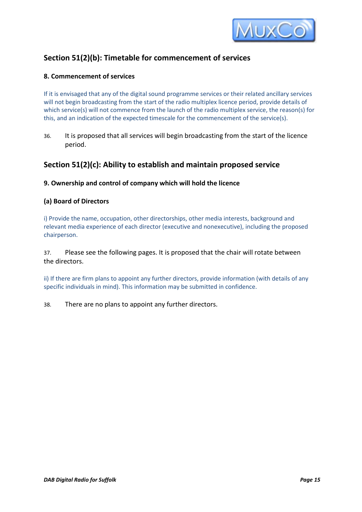

# **Section 51(2)(b): Timetable for commencement of services**

# **8. Commencement of services**

If it is envisaged that any of the digital sound programme services or their related ancillary services will not begin broadcasting from the start of the radio multiplex licence period, provide details of which service(s) will not commence from the launch of the radio multiplex service, the reason(s) for this, and an indication of the expected timescale for the commencement of the service(s).

36. It is proposed that all services will begin broadcasting from the start of the licence period.

# **Section 51(2)(c): Ability to establish and maintain proposed service**

# **9. Ownership and control of company which will hold the licence**

# **(a) Board of Directors**

i) Provide the name, occupation, other directorships, other media interests, background and relevant media experience of each director (executive and nonexecutive), including the proposed chairperson.

37. Please see the following pages. It is proposed that the chair will rotate between the directors.

ii) If there are firm plans to appoint any further directors, provide information (with details of any specific individuals in mind). This information may be submitted in confidence.

38. There are no plans to appoint any further directors.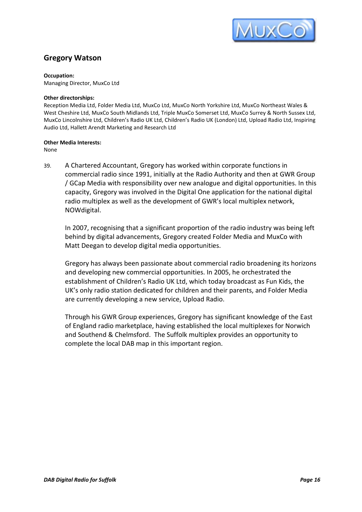

# **Gregory Watson**

#### **Occupation:**

Managing Director, MuxCo Ltd

#### **Other directorships:**

Reception Media Ltd, Folder Media Ltd, MuxCo Ltd, MuxCo North Yorkshire Ltd, MuxCo Northeast Wales & West Cheshire Ltd, MuxCo South Midlands Ltd, Triple MuxCo Somerset Ltd, MuxCo Surrey & North Sussex Ltd, MuxCo Lincolnshire Ltd, Children's Radio UK Ltd, Children's Radio UK (London) Ltd, Upload Radio Ltd, Inspiring Audio Ltd, Hallett Arendt Marketing and Research Ltd

#### **Other Media Interests:**

None

39. A Chartered Accountant, Gregory has worked within corporate functions in commercial radio since 1991, initially at the Radio Authority and then at GWR Group / GCap Media with responsibility over new analogue and digital opportunities. In this capacity, Gregory was involved in the Digital One application for the national digital radio multiplex as well as the development of GWR's local multiplex network, NOWdigital.

In 2007, recognising that a significant proportion of the radio industry was being left behind by digital advancements, Gregory created Folder Media and MuxCo with Matt Deegan to develop digital media opportunities.

Gregory has always been passionate about commercial radio broadening its horizons and developing new commercial opportunities. In 2005, he orchestrated the establishment of Children's Radio UK Ltd, which today broadcast as Fun Kids, the UK's only radio station dedicated for children and their parents, and Folder Media are currently developing a new service, Upload Radio.

Through his GWR Group experiences, Gregory has significant knowledge of the East of England radio marketplace, having established the local multiplexes for Norwich and Southend & Chelmsford. The Suffolk multiplex provides an opportunity to complete the local DAB map in this important region.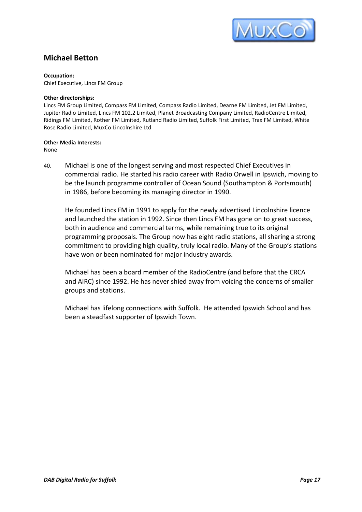

# **Michael Betton**

#### **Occupation:**

Chief Executive, Lincs FM Group

#### **Other directorships:**

Lincs FM Group Limited, Compass FM Limited, Compass Radio Limited, Dearne FM Limited, Jet FM Limited, Jupiter Radio Limited, Lincs FM 102.2 Limited, Planet Broadcasting Company Limited, RadioCentre Limited, Ridings FM Limited, Rother FM Limited, Rutland Radio Limited, Suffolk First Limited, Trax FM Limited, White Rose Radio Limited, MuxCo Lincolnshire Ltd

#### **Other Media Interests:**

None

40. Michael is one of the longest serving and most respected Chief Executives in commercial radio. He started his radio career with Radio Orwell in Ipswich, moving to be the launch programme controller of Ocean Sound (Southampton & Portsmouth) in 1986, before becoming its managing director in 1990.

He founded Lincs FM in 1991 to apply for the newly advertised Lincolnshire licence and launched the station in 1992. Since then Lincs FM has gone on to great success, both in audience and commercial terms, while remaining true to its original programming proposals. The Group now has eight radio stations, all sharing a strong commitment to providing high quality, truly local radio. Many of the Group's stations have won or been nominated for major industry awards.

Michael has been a board member of the RadioCentre (and before that the CRCA and AIRC) since 1992. He has never shied away from voicing the concerns of smaller groups and stations.

Michael has lifelong connections with Suffolk. He attended Ipswich School and has been a steadfast supporter of Ipswich Town.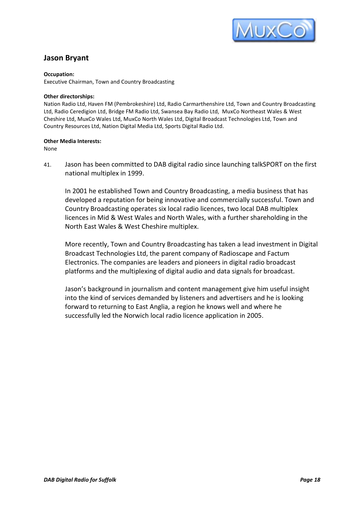

# **Jason Bryant**

#### **Occupation:**

Executive Chairman, Town and Country Broadcasting

#### **Other directorships:**

Nation Radio Ltd, Haven FM (Pembrokeshire) Ltd, Radio Carmarthenshire Ltd, Town and Country Broadcasting Ltd, Radio Ceredigion Ltd, Bridge FM Radio Ltd, Swansea Bay Radio Ltd, MuxCo Northeast Wales & West Cheshire Ltd, MuxCo Wales Ltd, MuxCo North Wales Ltd, Digital Broadcast Technologies Ltd, Town and Country Resources Ltd, Nation Digital Media Ltd, Sports Digital Radio Ltd.

#### **Other Media Interests:**

None

41. Jason has been committed to DAB digital radio since launching talkSPORT on the first national multiplex in 1999.

In 2001 he established Town and Country Broadcasting, a media business that has developed a reputation for being innovative and commercially successful. Town and Country Broadcasting operates six local radio licences, two local DAB multiplex licences in Mid & West Wales and North Wales, with a further shareholding in the North East Wales & West Cheshire multiplex.

More recently, Town and Country Broadcasting has taken a lead investment in Digital Broadcast Technologies Ltd, the parent company of Radioscape and Factum Electronics. The companies are leaders and pioneers in digital radio broadcast platforms and the multiplexing of digital audio and data signals for broadcast.

Jason's background in journalism and content management give him useful insight into the kind of services demanded by listeners and advertisers and he is looking forward to returning to East Anglia, a region he knows well and where he successfully led the Norwich local radio licence application in 2005.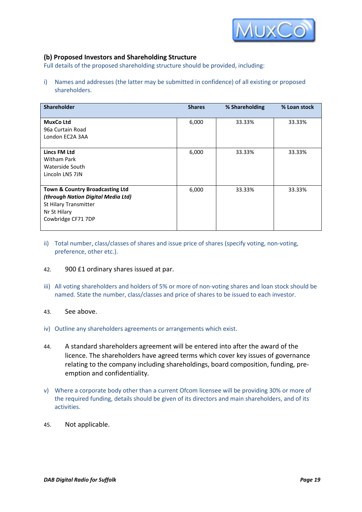

# **(b) Proposed Investors and Shareholding Structure**

Full details of the proposed shareholding structure should be provided, including:

i) Names and addresses (the latter may be submitted in confidence) of all existing or proposed shareholders.

| <b>Shareholder</b>                                                                                                                              | <b>Shares</b> | % Shareholding | % Loan stock |
|-------------------------------------------------------------------------------------------------------------------------------------------------|---------------|----------------|--------------|
| <b>MuxCo Ltd</b><br>96a Curtain Road<br>London EC2A 3AA                                                                                         | 6,000         | 33.33%         | 33.33%       |
| <b>Lincs FM Ltd</b><br><b>Witham Park</b><br>Waterside South<br>Lincoln LN5 7JN                                                                 | 6,000         | 33.33%         | 33.33%       |
| <b>Town &amp; Country Broadcasting Ltd</b><br>(through Nation Digital Media Ltd)<br>St Hilary Transmitter<br>Nr St Hilary<br>Cowbridge CF71 7DP | 6,000         | 33.33%         | 33.33%       |

ii) Total number, class/classes of shares and issue price of shares (specify voting, non-voting, preference, other etc.).

#### 42. 900 £1 ordinary shares issued at par.

iii) All voting shareholders and holders of 5% or more of non-voting shares and loan stock should be named. State the number, class/classes and price of shares to be issued to each investor.

#### 43. See above.

- iv) Outline any shareholders agreements or arrangements which exist.
- 44. A standard shareholders agreement will be entered into after the award of the licence. The shareholders have agreed terms which cover key issues of governance relating to the company including shareholdings, board composition, funding, preemption and confidentiality.
- v) Where a corporate body other than a current Ofcom licensee will be providing 30% or more of the required funding, details should be given of its directors and main shareholders, and of its activities.
- 45. Not applicable.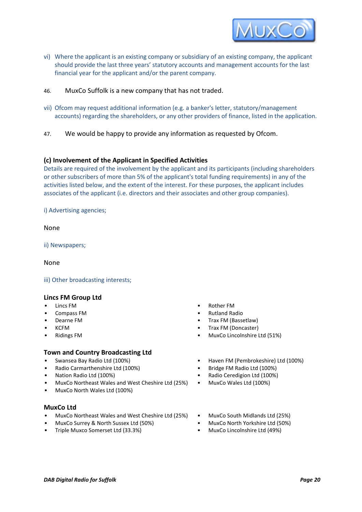

- vi) Where the applicant is an existing company or subsidiary of an existing company, the applicant should provide the last three years' statutory accounts and management accounts for the last financial year for the applicant and/or the parent company.
- 46. MuxCo Suffolk is a new company that has not traded.
- vii) Ofcom may request additional information (e.g. a banker's letter, statutory/management accounts) regarding the shareholders, or any other providers of finance, listed in the application.
- 47. We would be happy to provide any information as requested by Ofcom.

#### **(c) Involvement of the Applicant in Specified Activities**

Details are required of the involvement by the applicant and its participants (including shareholders or other subscribers of more than 5% of the applicant's total funding requirements) in any of the activities listed below, and the extent of the interest. For these purposes, the applicant includes associates of the applicant (i.e. directors and their associates and other group companies).

i) Advertising agencies;

#### None

ii) Newspapers;

None

iii) Other broadcasting interests;

#### **Lincs FM Group Ltd**

- 
- 
- 
- 
- 

#### **Town and Country Broadcasting Ltd**

- 
- Radio Carmarthenshire Ltd (100%) Bridge FM Radio Ltd (100%)
- 
- MuxCo Northeast Wales and West Cheshire Ltd (25%) MuxCo Wales Ltd (100%)
- MuxCo North Wales Ltd (100%)

#### **MuxCo Ltd**

- MuxCo Northeast Wales and West Cheshire Ltd (25%) MuxCo South Midlands Ltd (25%)
- MuxCo Surrey & North Sussex Ltd (50%) MuxCo North Yorkshire Ltd (50%)
- Triple Muxco Somerset Ltd (33.3%) MuxCo Lincolnshire Ltd (49%)
- Lincs FM Rother FM
	-
- Compass FM Rutland Radio Trax FM (Bassetlaw)
	- KCFM Trax FM (Doncaster)
- Ridings FM MuxCo Lincolnshire Ltd (51%)
- Swansea Bay Radio Ltd (100%) Haven FM (Pembrokeshire) Ltd (100%)
	-
	- Nation Radio Ltd (100%) Radio Ceredigion Ltd (100%)
		-
		-
		-
		-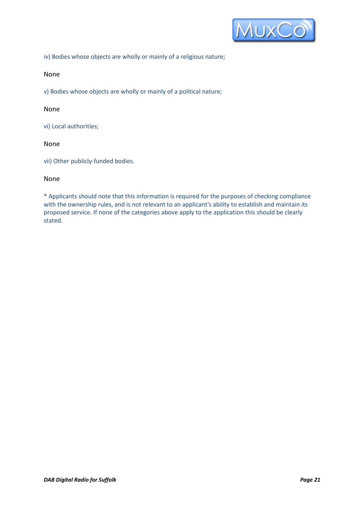

iv) Bodies whose objects are wholly or mainly of a religious nature;

#### None

v) Bodies whose objects are wholly or mainly of a political nature;

#### None

vi) Local authorities;

# None

vii) Other publicly-funded bodies.

#### None

\* Applicants should note that this information is required for the purposes of checking compliance with the ownership rules, and is not relevant to an applicant's ability to establish and maintain its proposed service. If none of the categories above apply to the application this should be clearly stated.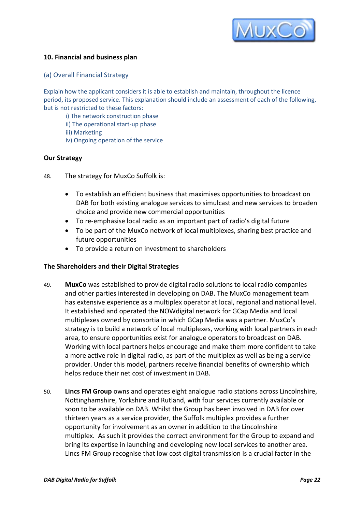

# **10. Financial and business plan**

#### (a) Overall Financial Strategy

Explain how the applicant considers it is able to establish and maintain, throughout the licence period, its proposed service. This explanation should include an assessment of each of the following, but is not restricted to these factors:

- i) The network construction phase
- ii) The operational start-up phase
- iii) Marketing
- iv) Ongoing operation of the service

# **Our Strategy**

- 48. The strategy for MuxCo Suffolk is:
	- To establish an efficient business that maximises opportunities to broadcast on DAB for both existing analogue services to simulcast and new services to broaden choice and provide new commercial opportunities
	- To re-emphasise local radio as an important part of radio's digital future
	- To be part of the MuxCo network of local multiplexes, sharing best practice and future opportunities
	- To provide a return on investment to shareholders

#### **The Shareholders and their Digital Strategies**

- 49. **MuxCo** was established to provide digital radio solutions to local radio companies and other parties interested in developing on DAB. The MuxCo management team has extensive experience as a multiplex operator at local, regional and national level. It established and operated the NOWdigital network for GCap Media and local multiplexes owned by consortia in which GCap Media was a partner. MuxCo's strategy is to build a network of local multiplexes, working with local partners in each area, to ensure opportunities exist for analogue operators to broadcast on DAB. Working with local partners helps encourage and make them more confident to take a more active role in digital radio, as part of the multiplex as well as being a service provider. Under this model, partners receive financial benefits of ownership which helps reduce their net cost of investment in DAB.
- 50. **Lincs FM Group** owns and operates eight analogue radio stations across Lincolnshire, Nottinghamshire, Yorkshire and Rutland, with four services currently available or soon to be available on DAB. Whilst the Group has been involved in DAB for over thirteen years as a service provider, the Suffolk multiplex provides a further opportunity for involvement as an owner in addition to the Lincolnshire multiplex. As such it provides the correct environment for the Group to expand and bring its expertise in launching and developing new local services to another area. Lincs FM Group recognise that low cost digital transmission is a crucial factor in the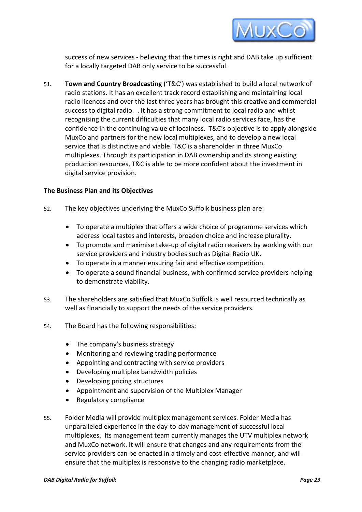

success of new services - believing that the times is right and DAB take up sufficient for a locally targeted DAB only service to be successful.

51. **Town and Country Broadcasting** ('T&C') was established to build a local network of radio stations. It has an excellent track record establishing and maintaining local radio licences and over the last three years has brought this creative and commercial success to digital radio. . It has a strong commitment to local radio and whilst recognising the current difficulties that many local radio services face, has the confidence in the continuing value of localness. T&C's objective is to apply alongside MuxCo and partners for the new local multiplexes, and to develop a new local service that is distinctive and viable. T&C is a shareholder in three MuxCo multiplexes. Through its participation in DAB ownership and its strong existing production resources, T&C is able to be more confident about the investment in digital service provision.

# **The Business Plan and its Objectives**

- 52. The key objectives underlying the MuxCo Suffolk business plan are:
	- To operate a multiplex that offers a wide choice of programme services which address local tastes and interests, broaden choice and increase plurality.
	- To promote and maximise take-up of digital radio receivers by working with our service providers and industry bodies such as Digital Radio UK.
	- To operate in a manner ensuring fair and effective competition.
	- To operate a sound financial business, with confirmed service providers helping to demonstrate viability.
- 53. The shareholders are satisfied that MuxCo Suffolk is well resourced technically as well as financially to support the needs of the service providers.
- 54. The Board has the following responsibilities:
	- The company's business strategy
	- Monitoring and reviewing trading performance
	- Appointing and contracting with service providers
	- Developing multiplex bandwidth policies
	- Developing pricing structures
	- Appointment and supervision of the Multiplex Manager
	- Regulatory compliance
- 55. Folder Media will provide multiplex management services. Folder Media has unparalleled experience in the day-to-day management of successful local multiplexes. Its management team currently manages the UTV multiplex network and MuxCo network. It will ensure that changes and any requirements from the service providers can be enacted in a timely and cost-effective manner, and will ensure that the multiplex is responsive to the changing radio marketplace.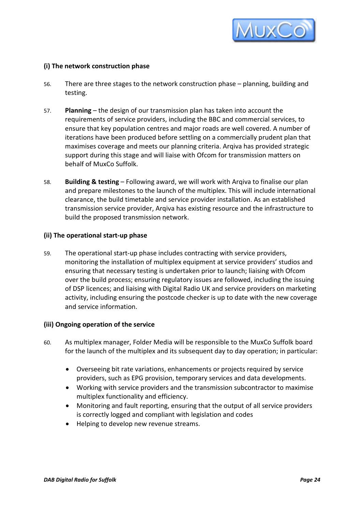

# **(i) The network construction phase**

- 56. There are three stages to the network construction phase planning, building and testing.
- 57. **Planning**  the design of our transmission plan has taken into account the requirements of service providers, including the BBC and commercial services, to ensure that key population centres and major roads are well covered. A number of iterations have been produced before settling on a commercially prudent plan that maximises coverage and meets our planning criteria. Arqiva has provided strategic support during this stage and will liaise with Ofcom for transmission matters on behalf of MuxCo Suffolk.
- 58. **Building & testing**  Following award, we will work with Arqiva to finalise our plan and prepare milestones to the launch of the multiplex. This will include international clearance, the build timetable and service provider installation. As an established transmission service provider, Arqiva has existing resource and the infrastructure to build the proposed transmission network.

#### **(ii) The operational start-up phase**

59. The operational start-up phase includes contracting with service providers, monitoring the installation of multiplex equipment at service providers' studios and ensuring that necessary testing is undertaken prior to launch; liaising with Ofcom over the build process; ensuring regulatory issues are followed, including the issuing of DSP licences; and liaising with Digital Radio UK and service providers on marketing activity, including ensuring the postcode checker is up to date with the new coverage and service information.

# **(iii) Ongoing operation of the service**

- 60. As multiplex manager, Folder Media will be responsible to the MuxCo Suffolk board for the launch of the multiplex and its subsequent day to day operation; in particular:
	- Overseeing bit rate variations, enhancements or projects required by service providers, such as EPG provision, temporary services and data developments.
	- Working with service providers and the transmission subcontractor to maximise multiplex functionality and efficiency.
	- Monitoring and fault reporting, ensuring that the output of all service providers is correctly logged and compliant with legislation and codes
	- Helping to develop new revenue streams.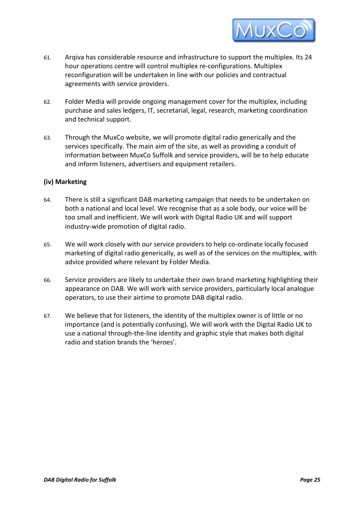

- 61. Arqiva has considerable resource and infrastructure to support the multiplex. Its 24 hour operations centre will control multiplex re-configurations. Multiplex reconfiguration will be undertaken in line with our policies and contractual agreements with service providers.
- 62. Folder Media will provide ongoing management cover for the multiplex, including purchase and sales ledgers, IT, secretarial, legal, research, marketing coordination and technical support.
- 63. Through the MuxCo website, we will promote digital radio generically and the services specifically. The main aim of the site, as well as providing a conduit of information between MuxCo Suffolk and service providers, will be to help educate and inform listeners, advertisers and equipment retailers.

# **(iv) Marketing**

- 64. There is still a significant DAB marketing campaign that needs to be undertaken on both a national and local level. We recognise that as a sole body, our voice will be too small and inefficient. We will work with Digital Radio UK and will support industry-wide promotion of digital radio.
- 65. We will work closely with our service providers to help co-ordinate locally focused marketing of digital radio generically, as well as of the services on the multiplex, with advice provided where relevant by Folder Media.
- 66. Service providers are likely to undertake their own brand marketing highlighting their appearance on DAB. We will work with service providers, particularly local analogue operators, to use their airtime to promote DAB digital radio.
- 67. We believe that for listeners, the identity of the multiplex owner is of little or no importance (and is potentially confusing). We will work with the Digital Radio UK to use a national through-the-line identity and graphic style that makes both digital radio and station brands the 'heroes'.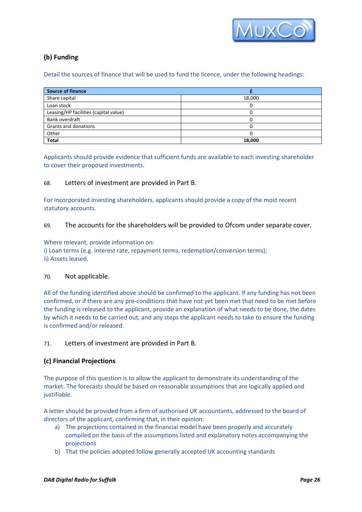

# **(b) Funding**

Detail the sources of finance that will be used to fund the licence, under the following headings:

| <b>Source of finance</b>              |        |
|---------------------------------------|--------|
| Share capital                         | 18,000 |
| Loan stock                            |        |
| Leasing/HP facilities (capital value) |        |
| Bank overdraft                        |        |
| Grants and donations                  |        |
| Other                                 |        |
| <b>Total</b>                          | 18,000 |

Applicants should provide evidence that sufficient funds are available to each investing shareholder to cover their proposed investments.

# 68. Letters of investment are provided in Part B.

For incorporated investing shareholders, applicants should provide a copy of the most recent statutory accounts.

#### 69. The accounts for the shareholders will be provided to Ofcom under separate cover.

Where relevant, provide information on:

i) Loan terms (e.g. interest rate, repayment terms, redemption/conversion terms); ii) Assets leased.

#### 70. Not applicable.

All of the funding identified above should be confirmed to the applicant. If any funding has not been confirmed, or if there are any pre-conditions that have not yet been met that need to be met before the funding is released to the applicant, provide an explanation of what needs to be done, the dates by which it needs to be carried out, and any steps the applicant needs to take to ensure the funding is confirmed and/or released.

# 71. Letters of investment are provided in Part B.

# **(c) Financial Projections**

The purpose of this question is to allow the applicant to demonstrate its understanding of the market. The forecasts should be based on reasonable assumptions that are logically applied and justifiable.

A letter should be provided from a firm of authorised UK accountants, addressed to the board of directors of the applicant, confirming that, in their opinion:

- a) The projections contained in the financial model have been properly and accurately compiled on the basis of the assumptions listed and explanatory notes accompanying the projections
- b) That the policies adopted follow generally accepted UK accounting standards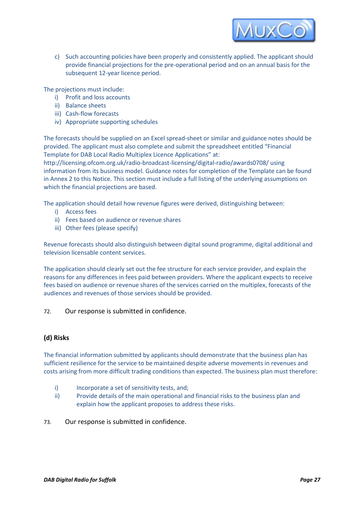

c) Such accounting policies have been properly and consistently applied. The applicant should provide financial projections for the pre-operational period and on an annual basis for the subsequent 12-year licence period.

The projections must include:

- i) Profit and loss accounts
- ii) Balance sheets
- iii) Cash-flow forecasts
- iv) Appropriate supporting schedules

The forecasts should be supplied on an Excel spread-sheet or similar and guidance notes should be provided. The applicant must also complete and submit the spreadsheet entitled "Financial Template for DAB Local Radio Multiplex Licence Applications" at:

http://licensing.ofcom.org.uk/radio-broadcast-licensing/digital-radio/awards0708/ using information from its business model. Guidance notes for completion of the Template can be found in Annex 2 to this Notice. This section must include a full listing of the underlying assumptions on which the financial projections are based.

The application should detail how revenue figures were derived, distinguishing between:

- i) Access fees
- ii) Fees based on audience or revenue shares
- iii) Other fees (please specify)

Revenue forecasts should also distinguish between digital sound programme, digital additional and television licensable content services.

The application should clearly set out the fee structure for each service provider, and explain the reasons for any differences in fees paid between providers. Where the applicant expects to receive fees based on audience or revenue shares of the services carried on the multiplex, forecasts of the audiences and revenues of those services should be provided.

### 72. Our response is submitted in confidence.

#### **(d) Risks**

The financial information submitted by applicants should demonstrate that the business plan has sufficient resilience for the service to be maintained despite adverse movements in revenues and costs arising from more difficult trading conditions than expected. The business plan must therefore:

- i) Incorporate a set of sensitivity tests, and;
- ii) Provide details of the main operational and financial risks to the business plan and explain how the applicant proposes to address these risks.
- 73. Our response is submitted in confidence.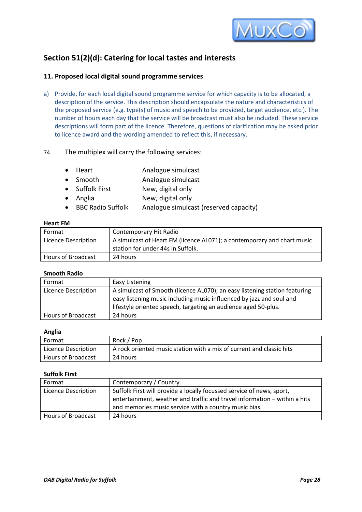

# **Section 51(2)(d): Catering for local tastes and interests**

# **11. Proposed local digital sound programme services**

a) Provide, for each local digital sound programme service for which capacity is to be allocated, a description of the service. This description should encapsulate the nature and characteristics of the proposed service (e.g. type(s) of music and speech to be provided, target audience, etc.). The number of hours each day that the service will be broadcast must also be included. These service descriptions will form part of the licence. Therefore, questions of clarification may be asked prior to licence award and the wording amended to reflect this, if necessary.

# 74. The multiplex will carry the following services:

- Heart **Analogue simulcast**
- Smooth Analogue simulcast
- Suffolk First New, digital only
- Anglia New, digital only
- BBC Radio Suffolk Analogue simulcast (reserved capacity)

#### **Heart FM**

| Format              | Contemporary Hit Radio                                                                                       |
|---------------------|--------------------------------------------------------------------------------------------------------------|
| Licence Description | A simulcast of Heart FM (licence AL071); a contemporary and chart music<br>station for under 44s in Suffolk. |
| Hours of Broadcast  | 24 hours                                                                                                     |

#### **Smooth Radio**

| Format              | Easy Listening                                                                                                                                                                                                       |
|---------------------|----------------------------------------------------------------------------------------------------------------------------------------------------------------------------------------------------------------------|
| Licence Description | A simulcast of Smooth (licence AL070); an easy listening station featuring<br>easy listening music including music influenced by jazz and soul and<br>lifestyle oriented speech, targeting an audience aged 50-plus. |
| Hours of Broadcast  | 24 hours                                                                                                                                                                                                             |

#### **Anglia**

| I Format                  | Rock / Pop                                                           |
|---------------------------|----------------------------------------------------------------------|
| Licence Description       | A rock oriented music station with a mix of current and classic hits |
| <b>Hours of Broadcast</b> | 24 hours                                                             |

#### **Suffolk First**

| Format                    | Contemporary / Country                                                                                                                                                                                      |
|---------------------------|-------------------------------------------------------------------------------------------------------------------------------------------------------------------------------------------------------------|
| Licence Description       | Suffolk First will provide a locally focussed service of news, sport,<br>entertainment, weather and traffic and travel information - within a hits<br>and memories music service with a country music bias. |
| <b>Hours of Broadcast</b> | 24 hours                                                                                                                                                                                                    |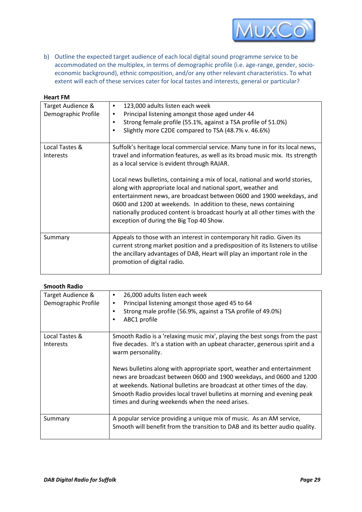

b) Outline the expected target audience of each local digital sound programme service to be accommodated on the multiplex, in terms of demographic profile (i.e. age-range, gender, socioeconomic background), ethnic composition, and/or any other relevant characteristics. To what extent will each of these services cater for local tastes and interests, general or particular?

| <b>Heart FM</b>                          |                                                                                                                                                                                                                                                                                                                                                                                                                      |
|------------------------------------------|----------------------------------------------------------------------------------------------------------------------------------------------------------------------------------------------------------------------------------------------------------------------------------------------------------------------------------------------------------------------------------------------------------------------|
| Target Audience &<br>Demographic Profile | 123,000 adults listen each week<br>$\bullet$<br>Principal listening amongst those aged under 44<br>٠<br>Strong female profile (55.1%, against a TSA profile of 51.0%)<br>٠<br>Slightly more C2DE compared to TSA (48.7% v. 46.6%)<br>٠                                                                                                                                                                               |
| Local Tastes &                           | Suffolk's heritage local commercial service. Many tune in for its local news,                                                                                                                                                                                                                                                                                                                                        |
| <b>Interests</b>                         | travel and information features, as well as its broad music mix. Its strength<br>as a local service is evident through RAJAR.                                                                                                                                                                                                                                                                                        |
|                                          | Local news bulletins, containing a mix of local, national and world stories,<br>along with appropriate local and national sport, weather and<br>entertainment news, are broadcast between 0600 and 1900 weekdays, and<br>0600 and 1200 at weekends. In addition to these, news containing<br>nationally produced content is broadcast hourly at all other times with the<br>exception of during the Big Top 40 Show. |
| Summary                                  | Appeals to those with an interest in contemporary hit radio. Given its<br>current strong market position and a predisposition of its listeners to utilise<br>the ancillary advantages of DAB, Heart will play an important role in the<br>promotion of digital radio.                                                                                                                                                |

#### **Smooth Radio**

| Target Audience &<br>Demographic Profile | 26,000 adults listen each week<br>٠<br>Principal listening amongst those aged 45 to 64<br>٠<br>Strong male profile (56.9%, against a TSA profile of 49.0%)<br>٠<br>ABC1 profile<br>٠                                                                                                                                                                                                                                                                                                                                                           |
|------------------------------------------|------------------------------------------------------------------------------------------------------------------------------------------------------------------------------------------------------------------------------------------------------------------------------------------------------------------------------------------------------------------------------------------------------------------------------------------------------------------------------------------------------------------------------------------------|
| Local Tastes &<br><b>Interests</b>       | Smooth Radio is a 'relaxing music mix', playing the best songs from the past<br>five decades. It's a station with an upbeat character, generous spirit and a<br>warm personality.<br>News bulletins along with appropriate sport, weather and entertainment<br>news are broadcast between 0600 and 1900 weekdays, and 0600 and 1200<br>at weekends. National bulletins are broadcast at other times of the day.<br>Smooth Radio provides local travel bulletins at morning and evening peak<br>times and during weekends when the need arises. |
| Summary                                  | A popular service providing a unique mix of music. As an AM service,<br>Smooth will benefit from the transition to DAB and its better audio quality.                                                                                                                                                                                                                                                                                                                                                                                           |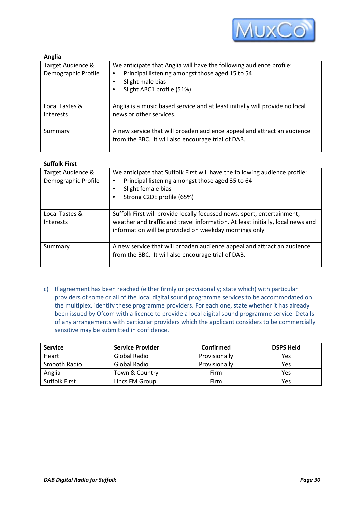

| Anglia                                   |                                                                                                                                                                                                        |
|------------------------------------------|--------------------------------------------------------------------------------------------------------------------------------------------------------------------------------------------------------|
| Target Audience &<br>Demographic Profile | We anticipate that Anglia will have the following audience profile:<br>Principal listening amongst those aged 15 to 54<br>$\bullet$<br>Slight male bias<br>$\bullet$<br>Slight ABC1 profile (51%)<br>٠ |
| Local Tastes &<br>Interests              | Anglia is a music based service and at least initially will provide no local<br>news or other services.                                                                                                |
| Summary                                  | A new service that will broaden audience appeal and attract an audience<br>from the BBC. It will also encourage trial of DAB.                                                                          |

| Target Audience &<br>Demographic Profile | We anticipate that Suffolk First will have the following audience profile:<br>Principal listening amongst those aged 35 to 64<br>٠<br>Slight female bias<br>٠<br>Strong C2DE profile (65%)<br>٠                    |
|------------------------------------------|--------------------------------------------------------------------------------------------------------------------------------------------------------------------------------------------------------------------|
| Local Tastes &<br><b>Interests</b>       | Suffolk First will provide locally focussed news, sport, entertainment,<br>weather and traffic and travel information. At least initially, local news and<br>information will be provided on weekday mornings only |
| Summary                                  | A new service that will broaden audience appeal and attract an audience<br>from the BBC. It will also encourage trial of DAB.                                                                                      |

c) If agreement has been reached (either firmly or provisionally; state which) with particular providers of some or all of the local digital sound programme services to be accommodated on the multiplex, identify these programme providers. For each one, state whether it has already been issued by Ofcom with a licence to provide a local digital sound programme service. Details of any arrangements with particular providers which the applicant considers to be commercially sensitive may be submitted in confidence.

| <b>Service</b>       | <b>Service Provider</b> | <b>Confirmed</b> | <b>DSPS Held</b> |
|----------------------|-------------------------|------------------|------------------|
| Heart                | Global Radio            | Provisionally    | Yes              |
| Smooth Radio         | Global Radio            | Provisionally    | Yes              |
| Anglia               | Town & Country          | Firm             | Yes              |
| <b>Suffolk First</b> | Lincs FM Group          | Firm             | Yes              |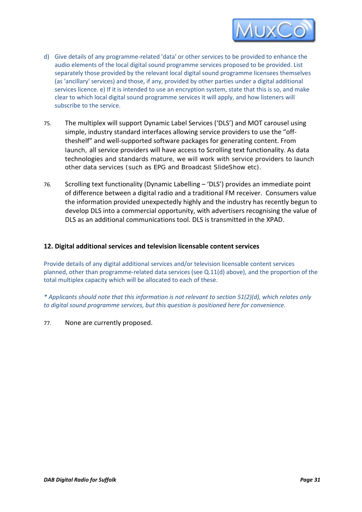

- d) Give details of any programme-related 'data' or other services to be provided to enhance the audio elements of the local digital sound programme services proposed to be provided. List separately those provided by the relevant local digital sound programme licensees themselves (as 'ancillary' services) and those, if any, provided by other parties under a digital additional services licence. e) If it is intended to use an encryption system, state that this is so, and make clear to which local digital sound programme services it will apply, and how listeners will subscribe to the service.
- 75. The multiplex will support Dynamic Label Services ('DLS') and MOT carousel using simple, industry standard interfaces allowing service providers to use the "offtheshelf" and well-supported software packages for generating content. From launch, all service providers will have access to Scrolling text functionality. As data technologies and standards mature, we will work with service providers to launch other data services (such as EPG and Broadcast SlideShow etc).
- 76. Scrolling text functionality (Dynamic Labelling 'DLS') provides an immediate point of difference between a digital radio and a traditional FM receiver. Consumers value the information provided unexpectedly highly and the industry has recently begun to develop DLS into a commercial opportunity, with advertisers recognising the value of DLS as an additional communications tool. DLS is transmitted in the XPAD.

# **12. Digital additional services and television licensable content services**

Provide details of any digital additional services and/or television licensable content services planned, other than programme-related data services (see Q.11(d) above), and the proportion of the total multiplex capacity which will be allocated to each of these.

*\* Applicants should note that this information is not relevant to section 51(2)(d), which relates only to digital sound programme services, but this question is positioned here for convenience.* 

77. None are currently proposed.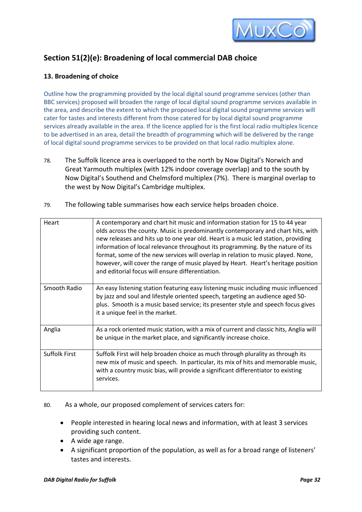

# **Section 51(2)(e): Broadening of local commercial DAB choice**

# **13. Broadening of choice**

Outline how the programming provided by the local digital sound programme services (other than BBC services) proposed will broaden the range of local digital sound programme services available in the area, and describe the extent to which the proposed local digital sound programme services will cater for tastes and interests different from those catered for by local digital sound programme services already available in the area. If the licence applied for is the first local radio multiplex licence to be advertised in an area, detail the breadth of programming which will be delivered by the range of local digital sound programme services to be provided on that local radio multiplex alone.

- 78. The Suffolk licence area is overlapped to the north by Now Digital's Norwich and Great Yarmouth multiplex (with 12% indoor coverage overlap) and to the south by Now Digital's Southend and Chelmsford multiplex (7%). There is marginal overlap to the west by Now Digital's Cambridge multiplex.
- 79. The following table summarises how each service helps broaden choice.

| Heart                | A contemporary and chart hit music and information station for 15 to 44 year<br>olds across the county. Music is predominantly contemporary and chart hits, with<br>new releases and hits up to one year old. Heart is a music led station, providing<br>information of local relevance throughout its programming. By the nature of its<br>format, some of the new services will overlap in relation to music played. None,<br>however, will cover the range of music played by Heart. Heart's heritage position<br>and editorial focus will ensure differentiation. |
|----------------------|-----------------------------------------------------------------------------------------------------------------------------------------------------------------------------------------------------------------------------------------------------------------------------------------------------------------------------------------------------------------------------------------------------------------------------------------------------------------------------------------------------------------------------------------------------------------------|
| Smooth Radio         | An easy listening station featuring easy listening music including music influenced<br>by jazz and soul and lifestyle oriented speech, targeting an audience aged 50-<br>plus. Smooth is a music based service; its presenter style and speech focus gives<br>it a unique feel in the market.                                                                                                                                                                                                                                                                         |
| Anglia               | As a rock oriented music station, with a mix of current and classic hits, Anglia will<br>be unique in the market place, and significantly increase choice.                                                                                                                                                                                                                                                                                                                                                                                                            |
| <b>Suffolk First</b> | Suffolk First will help broaden choice as much through plurality as through its<br>new mix of music and speech. In particular, its mix of hits and memorable music,<br>with a country music bias, will provide a significant differentiator to existing<br>services.                                                                                                                                                                                                                                                                                                  |

80. As a whole, our proposed complement of services caters for:

- People interested in hearing local news and information, with at least 3 services providing such content.
- A wide age range.
- A significant proportion of the population, as well as for a broad range of listeners' tastes and interests.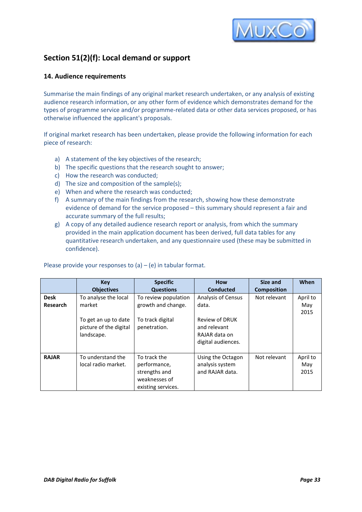

# **Section 51(2)(f): Local demand or support**

# **14. Audience requirements**

Summarise the main findings of any original market research undertaken, or any analysis of existing audience research information, or any other form of evidence which demonstrates demand for the types of programme service and/or programme-related data or other data services proposed, or has otherwise influenced the applicant's proposals.

If original market research has been undertaken, please provide the following information for each piece of research:

- a) A statement of the key objectives of the research;
- b) The specific questions that the research sought to answer;
- c) How the research was conducted;
- d) The size and composition of the sample(s);
- e) When and where the research was conducted;
- f) A summary of the main findings from the research, showing how these demonstrate evidence of demand for the service proposed – this summary should represent a fair and accurate summary of the full results;
- g) A copy of any detailed audience research report or analysis, from which the summary provided in the main application document has been derived, full data tables for any quantitative research undertaken, and any questionnaire used (these may be submitted in confidence).

|                 | <b>Key</b>             | <b>Specific</b>      | <b>How</b>                | Size and           | When     |
|-----------------|------------------------|----------------------|---------------------------|--------------------|----------|
|                 | <b>Objectives</b>      | <b>Questions</b>     | <b>Conducted</b>          | <b>Composition</b> |          |
| <b>Desk</b>     | To analyse the local   | To review population | <b>Analysis of Census</b> | Not relevant       | April to |
| <b>Research</b> | market                 | growth and change.   | data.                     |                    | May      |
|                 |                        |                      |                           |                    | 2015     |
|                 | To get an up to date   | To track digital     | Review of DRUK            |                    |          |
|                 | picture of the digital | penetration.         | and relevant              |                    |          |
|                 | landscape.             |                      | RAJAR data on             |                    |          |
|                 |                        |                      | digital audiences.        |                    |          |
|                 |                        |                      |                           |                    |          |
| <b>RAJAR</b>    | To understand the      | To track the         | Using the Octagon         | Not relevant       | April to |
|                 | local radio market.    | performance,         | analysis system           |                    | May      |
|                 |                        | strengths and        | and RAJAR data.           |                    | 2015     |
|                 |                        | weaknesses of        |                           |                    |          |
|                 |                        | existing services.   |                           |                    |          |

Please provide your responses to  $(a) - (e)$  in tabular format.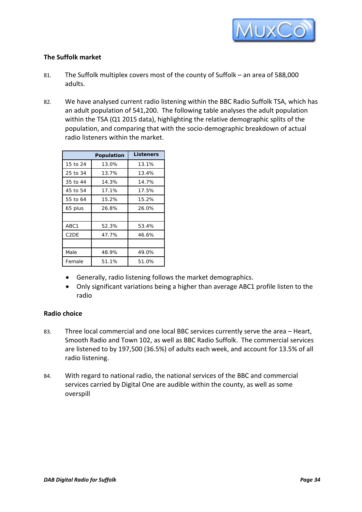

# **The Suffolk market**

- 81. The Suffolk multiplex covers most of the county of Suffolk an area of 588,000 adults.
- 82. We have analysed current radio listening within the BBC Radio Suffolk TSA, which has an adult population of 541,200. The following table analyses the adult population within the TSA (Q1 2015 data), highlighting the relative demographic splits of the population, and comparing that with the socio-demographic breakdown of actual radio listeners within the market.

|                   | Population | <b>Listeners</b> |
|-------------------|------------|------------------|
| 15 to 24          | 13.0%      | 13.1%            |
| 25 to 34          | 13.7%      | 13.4%            |
| 35 to 44          | 14.3%      | 14.7%            |
| 45 to 54          | 17.1%      | 17.5%            |
| 55 to 64          | 15.2%      | 15.2%            |
| 65 plus           | 26.8%      | 26.0%            |
|                   |            |                  |
| ABC1              | 52.3%      | 53.4%            |
| C <sub>2</sub> DE | 47.7%      | 46.6%            |
|                   |            |                  |
| Male              | 48.9%      | 49.0%            |
| Female            | 51.1%      | 51.0%            |

- Generally, radio listening follows the market demographics.
- Only significant variations being a higher than average ABC1 profile listen to the radio

# **Radio choice**

- 83. Three local commercial and one local BBC services currently serve the area Heart, Smooth Radio and Town 102, as well as BBC Radio Suffolk. The commercial services are listened to by 197,500 (36.5%) of adults each week, and account for 13.5% of all radio listening.
- 84. With regard to national radio, the national services of the BBC and commercial services carried by Digital One are audible within the county, as well as some overspill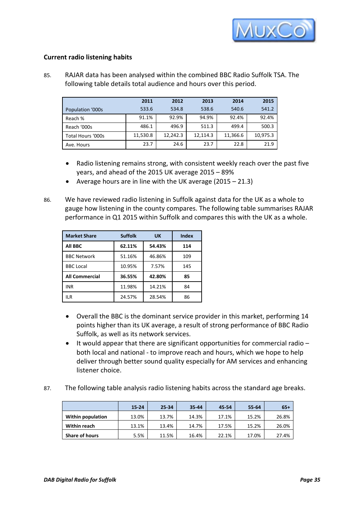

# **Current radio listening habits**

85. RAJAR data has been analysed within the combined BBC Radio Suffolk TSA. The following table details total audience and hours over this period.

|                   | 2011     | 2012     | 2013     | 2014     | 2015     |
|-------------------|----------|----------|----------|----------|----------|
| Population '000s  | 533.6    | 534.8    | 538.6    | 540.6    | 541.2    |
| Reach %           | 91.1%    | 92.9%    | 94.9%    | 92.4%    | 92.4%    |
| Reach '000s       | 486.1    | 496.9    | 511.3    | 499.4    | 500.3    |
| Total Hours '000s | 11,530.8 | 12,242.3 | 12,114.3 | 11,366.6 | 10,975.3 |
| Ave. Hours        | 23.7     | 24.6     | 23.7     | 22.8     | 21.9     |

- Radio listening remains strong, with consistent weekly reach over the past five years, and ahead of the 2015 UK average 2015 – 89%
- Average hours are in line with the UK average (2015 21.3)
- 86. We have reviewed radio listening in Suffolk against data for the UK as a whole to gauge how listening in the county compares. The following table summarises RAJAR performance in Q1 2015 within Suffolk and compares this with the UK as a whole.

| <b>Market Share</b>   | <b>Suffolk</b> | <b>UK</b> | Index |
|-----------------------|----------------|-----------|-------|
| All BBC               | 62.11%         | 54.43%    | 114   |
| <b>BBC Network</b>    | 51.16%         | 46.86%    | 109   |
| <b>BBC Local</b>      | 10.95%         | 7.57%     | 145   |
| <b>All Commercial</b> | 36.55%         | 42.80%    | 85    |
| INR                   | 11.98%         | 14.21%    | 84    |
| II R                  | 24.57%         | 28.54%    | 86    |

- Overall the BBC is the dominant service provider in this market, performing 14 points higher than its UK average, a result of strong performance of BBC Radio Suffolk, as well as its network services.
- It would appear that there are significant opportunities for commercial radio both local and national - to improve reach and hours, which we hope to help deliver through better sound quality especially for AM services and enhancing listener choice.
- 87. The following table analysis radio listening habits across the standard age breaks.

|                          | $15 - 24$ | 25-34 | 35-44 | 45-54 | 55-64 | $65+$ |
|--------------------------|-----------|-------|-------|-------|-------|-------|
| <b>Within population</b> | 13.0%     | 13.7% | 14.3% | 17.1% | 15.2% | 26.8% |
| <b>Within reach</b>      | 13.1%     | 13.4% | 14.7% | 17.5% | 15.2% | 26.0% |
| <b>Share of hours</b>    | 5.5%      | 11.5% | 16.4% | 22.1% | 17.0% | 27.4% |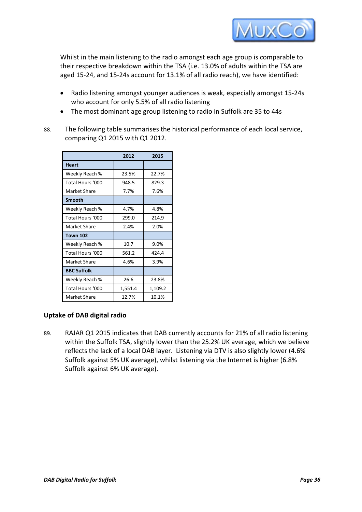

Whilst in the main listening to the radio amongst each age group is comparable to their respective breakdown within the TSA (i.e. 13.0% of adults within the TSA are aged 15-24, and 15-24s account for 13.1% of all radio reach), we have identified:

- Radio listening amongst younger audiences is weak, especially amongst 15-24s who account for only 5.5% of all radio listening
- The most dominant age group listening to radio in Suffolk are 35 to 44s
- 88. The following table summarises the historical performance of each local service, comparing Q1 2015 with Q1 2012.

|                    | 2012    | 2015    |
|--------------------|---------|---------|
| <b>Heart</b>       |         |         |
| Weekly Reach %     | 23.5%   | 22.7%   |
| Total Hours '000   | 948.5   | 829.3   |
| Market Share       | 7.7%    | 7.6%    |
| <b>Smooth</b>      |         |         |
| Weekly Reach %     | 4.7%    | 4.8%    |
| Total Hours '000   | 299.0   | 214.9   |
| Market Share       | 2.4%    | 2.0%    |
| <b>Town 102</b>    |         |         |
| Weekly Reach %     | 10.7    | 9.0%    |
| Total Hours '000   | 561.2   | 424.4   |
| Market Share       | 4.6%    | 3.9%    |
| <b>BBC Suffolk</b> |         |         |
| Weekly Reach %     | 26.6    | 23.8%   |
| Total Hours '000   | 1,551.4 | 1,109.2 |
| Market Share       | 12.7%   | 10.1%   |

# **Uptake of DAB digital radio**

89. RAJAR Q1 2015 indicates that DAB currently accounts for 21% of all radio listening within the Suffolk TSA, slightly lower than the 25.2% UK average, which we believe reflects the lack of a local DAB layer. Listening via DTV is also slightly lower (4.6% Suffolk against 5% UK average), whilst listening via the Internet is higher (6.8% Suffolk against 6% UK average).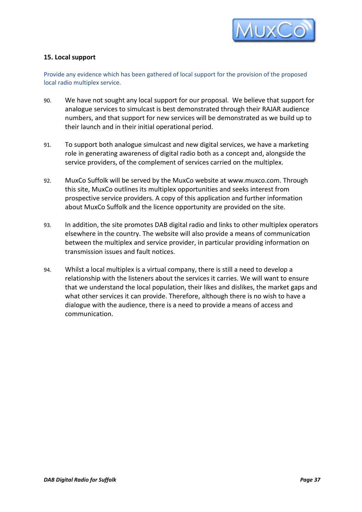

# **15. Local support**

Provide any evidence which has been gathered of local support for the provision of the proposed local radio multiplex service.

- 90. We have not sought any local support for our proposal. We believe that support for analogue services to simulcast is best demonstrated through their RAJAR audience numbers, and that support for new services will be demonstrated as we build up to their launch and in their initial operational period.
- 91. To support both analogue simulcast and new digital services, we have a marketing role in generating awareness of digital radio both as a concept and, alongside the service providers, of the complement of services carried on the multiplex.
- 92. MuxCo Suffolk will be served by the MuxCo website at www.muxco.com. Through this site, MuxCo outlines its multiplex opportunities and seeks interest from prospective service providers. A copy of this application and further information about MuxCo Suffolk and the licence opportunity are provided on the site.
- 93. In addition, the site promotes DAB digital radio and links to other multiplex operators elsewhere in the country. The website will also provide a means of communication between the multiplex and service provider, in particular providing information on transmission issues and fault notices.
- 94. Whilst a local multiplex is a virtual company, there is still a need to develop a relationship with the listeners about the services it carries. We will want to ensure that we understand the local population, their likes and dislikes, the market gaps and what other services it can provide. Therefore, although there is no wish to have a dialogue with the audience, there is a need to provide a means of access and communication.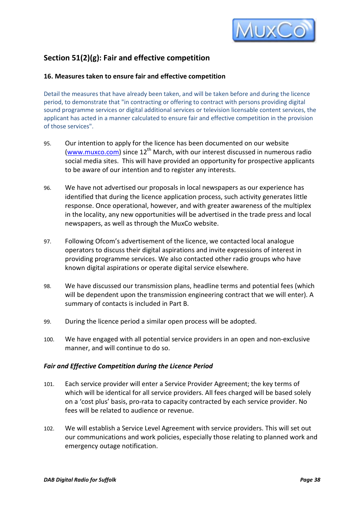

# **Section 51(2)(g): Fair and effective competition**

# **16. Measures taken to ensure fair and effective competition**

Detail the measures that have already been taken, and will be taken before and during the licence period, to demonstrate that "in contracting or offering to contract with persons providing digital sound programme services or digital additional services or television licensable content services, the applicant has acted in a manner calculated to ensure fair and effective competition in the provision of those services".

- 95. Our intention to apply for the licence has been documented on our website [\(www.muxco.com\)](http://www.muxco.com/) since  $12<sup>th</sup>$  March, with our interest discussed in numerous radio social media sites. This will have provided an opportunity for prospective applicants to be aware of our intention and to register any interests.
- 96. We have not advertised our proposals in local newspapers as our experience has identified that during the licence application process, such activity generates little response. Once operational, however, and with greater awareness of the multiplex in the locality, any new opportunities will be advertised in the trade press and local newspapers, as well as through the MuxCo website.
- 97. Following Ofcom's advertisement of the licence, we contacted local analogue operators to discuss their digital aspirations and invite expressions of interest in providing programme services. We also contacted other radio groups who have known digital aspirations or operate digital service elsewhere.
- 98. We have discussed our transmission plans, headline terms and potential fees (which will be dependent upon the transmission engineering contract that we will enter). A summary of contacts is included in Part B.
- 99. During the licence period a similar open process will be adopted.
- 100. We have engaged with all potential service providers in an open and non-exclusive manner, and will continue to do so.

# *Fair and Effective Competition during the Licence Period*

- 101. Each service provider will enter a Service Provider Agreement; the key terms of which will be identical for all service providers. All fees charged will be based solely on a 'cost plus' basis, pro-rata to capacity contracted by each service provider. No fees will be related to audience or revenue.
- 102. We will establish a Service Level Agreement with service providers. This will set out our communications and work policies, especially those relating to planned work and emergency outage notification.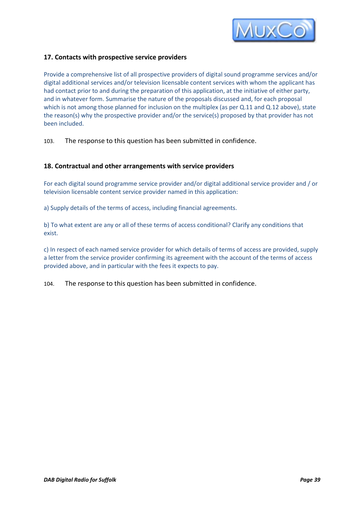

# **17. Contacts with prospective service providers**

Provide a comprehensive list of all prospective providers of digital sound programme services and/or digital additional services and/or television licensable content services with whom the applicant has had contact prior to and during the preparation of this application, at the initiative of either party, and in whatever form. Summarise the nature of the proposals discussed and, for each proposal which is not among those planned for inclusion on the multiplex (as per Q.11 and Q.12 above), state the reason(s) why the prospective provider and/or the service(s) proposed by that provider has not been included.

103. The response to this question has been submitted in confidence.

#### **18. Contractual and other arrangements with service providers**

For each digital sound programme service provider and/or digital additional service provider and / or television licensable content service provider named in this application:

a) Supply details of the terms of access, including financial agreements.

b) To what extent are any or all of these terms of access conditional? Clarify any conditions that exist.

c) In respect of each named service provider for which details of terms of access are provided, supply a letter from the service provider confirming its agreement with the account of the terms of access provided above, and in particular with the fees it expects to pay.

104. The response to this question has been submitted in confidence.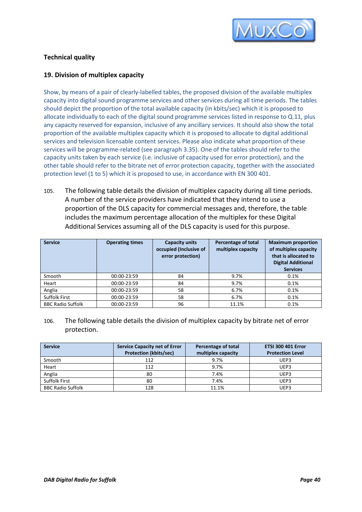

# **Technical quality**

# **19. Division of multiplex capacity**

Show, by means of a pair of clearly-labelled tables, the proposed division of the available multiplex capacity into digital sound programme services and other services during all time periods. The tables should depict the proportion of the total available capacity (in kbits/sec) which it is proposed to allocate individually to each of the digital sound programme services listed in response to Q.11, plus any capacity reserved for expansion, inclusive of any ancillary services. It should also show the total proportion of the available multiplex capacity which it is proposed to allocate to digital additional services and television licensable content services. Please also indicate what proportion of these services will be programme-related (see paragraph 3.35). One of the tables should refer to the capacity units taken by each service (i.e. inclusive of capacity used for error protection), and the other table should refer to the bitrate net of error protection capacity, together with the associated protection level (1 to 5) which it is proposed to use, in accordance with EN 300 401.

105. The following table details the division of multiplex capacity during all time periods. A number of the service providers have indicated that they intend to use a proportion of the DLS capacity for commercial messages and, therefore, the table includes the maximum percentage allocation of the multiplex for these Digital Additional Services assuming all of the DLS capacity is used for this purpose.

| <b>Service</b>           | <b>Operating times</b> | <b>Capacity units</b><br>occupied (Inclusive of<br>error protection) | Percentage of total<br>multiplex capacity | <b>Maximum proportion</b><br>of multiplex capacity<br>that is allocated to<br><b>Digital Additional</b><br><b>Services</b> |
|--------------------------|------------------------|----------------------------------------------------------------------|-------------------------------------------|----------------------------------------------------------------------------------------------------------------------------|
| Smooth                   | 00:00-23:59            | 84                                                                   | 9.7%                                      | 0.1%                                                                                                                       |
| Heart                    | 00:00-23:59            | 84                                                                   | 9.7%                                      | 0.1%                                                                                                                       |
| Anglia                   | 00:00-23:59            | 58                                                                   | 6.7%                                      | 0.1%                                                                                                                       |
| <b>Suffolk First</b>     | 00:00-23:59            | 58                                                                   | 6.7%                                      | 0.1%                                                                                                                       |
| <b>BBC Radio Suffolk</b> | 00:00-23:59            | 96                                                                   | 11.1%                                     | 0.1%                                                                                                                       |

# 106. The following table details the division of multiplex capacity by bitrate net of error protection.

| <b>Service</b>           | <b>Service Capacity net of Error</b> | Percentage of total | <b>ETSI 300 401 Error</b> |
|--------------------------|--------------------------------------|---------------------|---------------------------|
|                          | <b>Protection (kbits/sec)</b>        | multiplex capacity  | <b>Protection Level</b>   |
| Smooth                   | 112                                  | 9.7%                | UEP3                      |
| Heart                    | 112                                  | 9.7%                | UEP3                      |
| Anglia                   | 80                                   | 7.4%                | UEP3                      |
| <b>Suffolk First</b>     | 80                                   | 7.4%                | UEP3                      |
| <b>BBC Radio Suffolk</b> | 128                                  | 11.1%               | UEP3                      |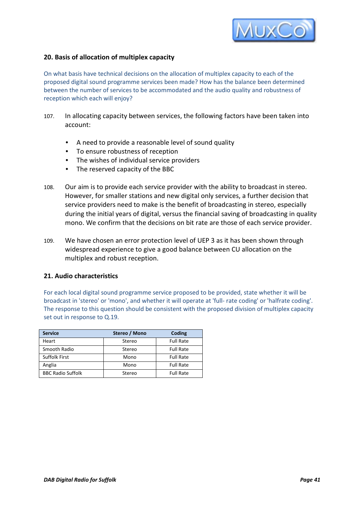

# **20. Basis of allocation of multiplex capacity**

On what basis have technical decisions on the allocation of multiplex capacity to each of the proposed digital sound programme services been made? How has the balance been determined between the number of services to be accommodated and the audio quality and robustness of reception which each will enjoy?

- 107. In allocating capacity between services, the following factors have been taken into account:
	- A need to provide a reasonable level of sound quality
	- To ensure robustness of reception
	- The wishes of individual service providers
	- The reserved capacity of the BBC
- 108. Our aim is to provide each service provider with the ability to broadcast in stereo. However, for smaller stations and new digital only services, a further decision that service providers need to make is the benefit of broadcasting in stereo, especially during the initial years of digital, versus the financial saving of broadcasting in quality mono. We confirm that the decisions on bit rate are those of each service provider.
- 109. We have chosen an error protection level of UEP 3 as it has been shown through widespread experience to give a good balance between CU allocation on the multiplex and robust reception.

# **21. Audio characteristics**

For each local digital sound programme service proposed to be provided, state whether it will be broadcast in 'stereo' or 'mono', and whether it will operate at 'full- rate coding' or 'halfrate coding'. The response to this question should be consistent with the proposed division of multiplex capacity set out in response to Q.19.

| <b>Service</b>           | Stereo / Mono | Coding           |
|--------------------------|---------------|------------------|
| Heart                    | Stereo        | <b>Full Rate</b> |
| Smooth Radio             | Stereo        | <b>Full Rate</b> |
| <b>Suffolk First</b>     | Mono          | <b>Full Rate</b> |
| Anglia                   | Mono          | <b>Full Rate</b> |
| <b>BBC Radio Suffolk</b> | Stereo        | <b>Full Rate</b> |